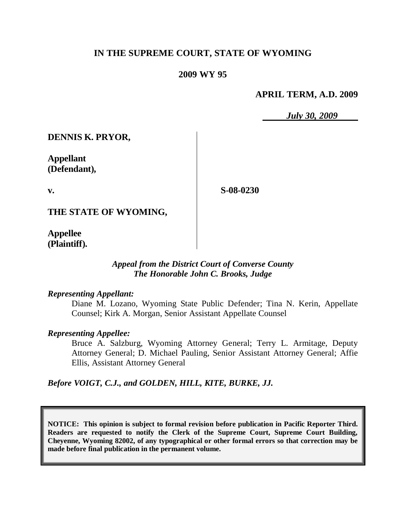# **IN THE SUPREME COURT, STATE OF WYOMING**

## **2009 WY 95**

## **APRIL TERM, A.D. 2009**

*July 30, 2009*

**DENNIS K. PRYOR,**

**Appellant (Defendant),**

**v.**

**S-08-0230**

**THE STATE OF WYOMING,**

**Appellee (Plaintiff).**

## *Appeal from the District Court of Converse County The Honorable John C. Brooks, Judge*

#### *Representing Appellant:*

Diane M. Lozano, Wyoming State Public Defender; Tina N. Kerin, Appellate Counsel; Kirk A. Morgan, Senior Assistant Appellate Counsel

#### *Representing Appellee:*

Bruce A. Salzburg, Wyoming Attorney General; Terry L. Armitage, Deputy Attorney General; D. Michael Pauling, Senior Assistant Attorney General; Affie Ellis, Assistant Attorney General

*Before VOIGT, C.J., and GOLDEN, HILL, KITE, BURKE, JJ.*

**NOTICE: This opinion is subject to formal revision before publication in Pacific Reporter Third. Readers are requested to notify the Clerk of the Supreme Court, Supreme Court Building, Cheyenne, Wyoming 82002, of any typographical or other formal errors so that correction may be made before final publication in the permanent volume.**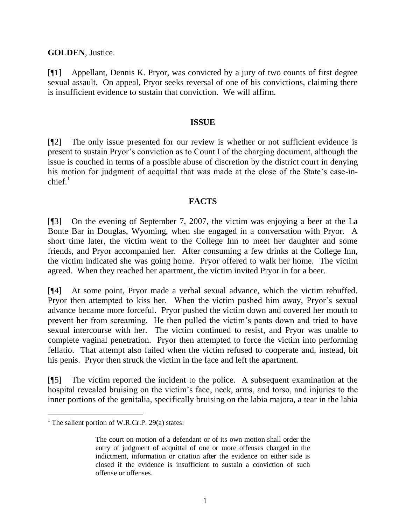**GOLDEN**, Justice.

[¶1] Appellant, Dennis K. Pryor, was convicted by a jury of two counts of first degree sexual assault. On appeal, Pryor seeks reversal of one of his convictions, claiming there is insufficient evidence to sustain that conviction. We will affirm.

#### **ISSUE**

[¶2] The only issue presented for our review is whether or not sufficient evidence is present to sustain Pryor's conviction as to Count I of the charging document, although the issue is couched in terms of a possible abuse of discretion by the district court in denying his motion for judgment of acquittal that was made at the close of the State's case-in $chi<sup>1</sup>$ 

## **FACTS**

[¶3] On the evening of September 7, 2007, the victim was enjoying a beer at the La Bonte Bar in Douglas, Wyoming, when she engaged in a conversation with Pryor. A short time later, the victim went to the College Inn to meet her daughter and some friends, and Pryor accompanied her. After consuming a few drinks at the College Inn, the victim indicated she was going home. Pryor offered to walk her home. The victim agreed. When they reached her apartment, the victim invited Pryor in for a beer.

[¶4] At some point, Pryor made a verbal sexual advance, which the victim rebuffed. Pryor then attempted to kiss her. When the victim pushed him away, Pryor's sexual advance became more forceful. Pryor pushed the victim down and covered her mouth to prevent her from screaming. He then pulled the victim's pants down and tried to have sexual intercourse with her. The victim continued to resist, and Pryor was unable to complete vaginal penetration. Pryor then attempted to force the victim into performing fellatio. That attempt also failed when the victim refused to cooperate and, instead, bit his penis. Pryor then struck the victim in the face and left the apartment.

[¶5] The victim reported the incident to the police. A subsequent examination at the hospital revealed bruising on the victim's face, neck, arms, and torso, and injuries to the inner portions of the genitalia, specifically bruising on the labia majora, a tear in the labia

 $\overline{a}$ 

<sup>&</sup>lt;sup>1</sup> The salient portion of W.R.Cr.P. 29(a) states:

The court on motion of a defendant or of its own motion shall order the entry of judgment of acquittal of one or more offenses charged in the indictment, information or citation after the evidence on either side is closed if the evidence is insufficient to sustain a conviction of such offense or offenses.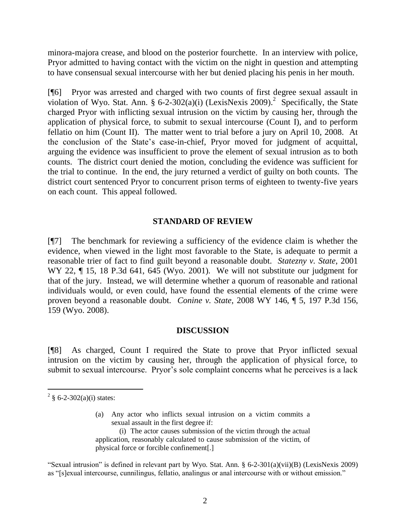minora-majora crease, and blood on the posterior fourchette. In an interview with police, Pryor admitted to having contact with the victim on the night in question and attempting to have consensual sexual intercourse with her but denied placing his penis in her mouth.

[¶6] Pryor was arrested and charged with two counts of first degree sexual assault in violation of Wyo. Stat. Ann. § 6-2-302(a)(i) (LexisNexis 2009).<sup>2</sup> Specifically, the State charged Pryor with inflicting sexual intrusion on the victim by causing her, through the application of physical force, to submit to sexual intercourse (Count I), and to perform fellatio on him (Count II). The matter went to trial before a jury on April 10, 2008. At the conclusion of the State's case-in-chief, Pryor moved for judgment of acquittal, arguing the evidence was insufficient to prove the element of sexual intrusion as to both counts. The district court denied the motion, concluding the evidence was sufficient for the trial to continue. In the end, the jury returned a verdict of guilty on both counts. The district court sentenced Pryor to concurrent prison terms of eighteen to twenty-five years on each count. This appeal followed.

## **STANDARD OF REVIEW**

[¶7] The benchmark for reviewing a sufficiency of the evidence claim is whether the evidence, when viewed in the light most favorable to the State, is adequate to permit a reasonable trier of fact to find guilt beyond a reasonable doubt. *Statezny v. State*, 2001 WY 22, ¶ 15, 18 P.3d 641, 645 (Wyo. 2001). We will not substitute our judgment for that of the jury. Instead, we will determine whether a quorum of reasonable and rational individuals would, or even could, have found the essential elements of the crime were proven beyond a reasonable doubt. *Conine v. State*, 2008 WY 146, ¶ 5, 197 P.3d 156, 159 (Wyo. 2008).

## **DISCUSSION**

[¶8] As charged, Count I required the State to prove that Pryor inflicted sexual intrusion on the victim by causing her, through the application of physical force, to submit to sexual intercourse. Pryor's sole complaint concerns what he perceives is a lack

 $\overline{a}$ 

(a) Any actor who inflicts sexual intrusion on a victim commits a sexual assault in the first degree if:

(i) The actor causes submission of the victim through the actual application, reasonably calculated to cause submission of the victim, of physical force or forcible confinement[.]

"Sexual intrusion" is defined in relevant part by Wyo. Stat. Ann. § 6-2-301(a)(vii)(B) (LexisNexis 2009) as "[s]exual intercourse, cunnilingus, fellatio, analingus or anal intercourse with or without emission."

 $2 \text{ } \frac{1}{2}$  6-2-302(a)(i) states: